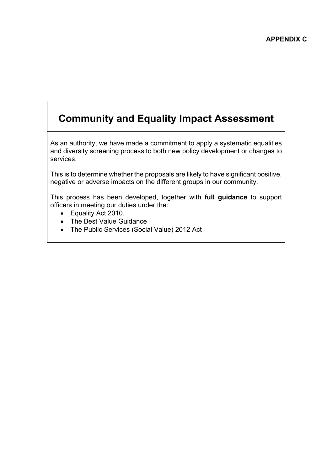# **Community and Equality Impact Assessment**

As an authority, we have made a commitment to apply a systematic equalities and diversity screening process to both new policy development or changes to services.

This is to determine whether the proposals are likely to have significant positive, negative or adverse impacts on the different groups in our community.

This process has been developed, together with **full guidance** to support officers in meeting our duties under the:

- Equality Act 2010.
- The Best Value Guidance
- The Public Services (Social Value) 2012 Act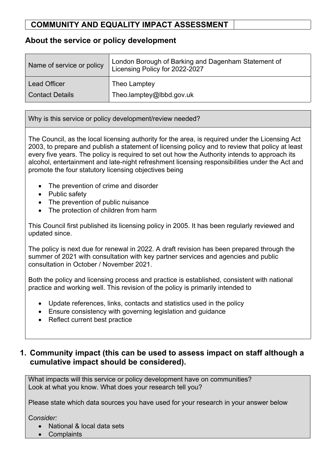#### **About the service or policy development**

| Name of service or policy | London Borough of Barking and Dagenham Statement of<br>Licensing Policy for 2022-2027 |
|---------------------------|---------------------------------------------------------------------------------------|
| <b>Lead Officer</b>       | Theo Lamptey                                                                          |
| Contact Details           | Theo.lamptey@lbbd.gov.uk                                                              |

Why is this service or policy development/review needed?

The Council, as the local licensing authority for the area, is required under the Licensing Act 2003, to prepare and publish a statement of licensing policy and to review that policy at least every five years. The policy is required to set out how the Authority intends to approach its alcohol, entertainment and late-night refreshment licensing responsibilities under the Act and promote the four statutory licensing objectives being

- The prevention of crime and disorder
- Public safety
- The prevention of public nuisance
- The protection of children from harm

This Council first published its licensing policy in 2005. It has been regularly reviewed and updated since.

The policy is next due for renewal in 2022. A draft revision has been prepared through the summer of 2021 with consultation with key partner services and agencies and public consultation in October / November 2021.

Both the policy and licensing process and practice is established, consistent with national practice and working well. This revision of the policy is primarily intended to

- Update references, links, contacts and statistics used in the policy
- Ensure consistency with governing legislation and guidance
- Reflect current best practice

#### **1. Community impact (this can be used to assess impact on staff although a cumulative impact should be considered).**

What impacts will this service or policy development have on communities? Look at what you know. What does your research tell you?

Please state which data sources you have used for your research in your answer below

C*onsider:*

- National & local data sets
- Complaints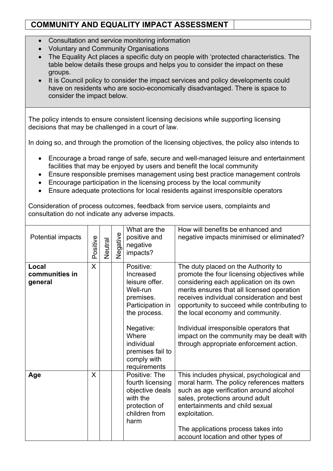- Consultation and service monitoring information
- Voluntary and Community Organisations
- The Equality Act places a specific duty on people with 'protected characteristics. The table below details these groups and helps you to consider the impact on these groups.
- It is Council policy to consider the impact services and policy developments could have on residents who are socio-economically disadvantaged. There is space to consider the impact below.

The policy intends to ensure consistent licensing decisions while supporting licensing decisions that may be challenged in a court of law.

In doing so, and through the promotion of the licensing objectives, the policy also intends to

- Encourage a broad range of safe, secure and well-managed leisure and entertainment facilities that may be enjoyed by users and benefit the local community
- Ensure responsible premises management using best practice management controls
- Encourage participation in the licensing process by the local community
- Ensure adequate protections for local residents against irresponsible operators

Consideration of process outcomes, feedback from service users, complaints and consultation do not indicate any adverse impacts.

| Potential impacts                  | Positive | Neutral | Negative | What are the<br>positive and<br>negative<br>impacts?                                                                                                                                         | How will benefits be enhanced and<br>negative impacts minimised or eliminated?                                                                                                                                                                                                                                                                                                                                                                   |
|------------------------------------|----------|---------|----------|----------------------------------------------------------------------------------------------------------------------------------------------------------------------------------------------|--------------------------------------------------------------------------------------------------------------------------------------------------------------------------------------------------------------------------------------------------------------------------------------------------------------------------------------------------------------------------------------------------------------------------------------------------|
| Local<br>communities in<br>general | X        |         |          | Positive:<br>Increased<br>leisure offer.<br>Well-run<br>premises.<br>Participation in<br>the process.<br>Negative:<br>Where<br>individual<br>premises fail to<br>comply with<br>requirements | The duty placed on the Authority to<br>promote the four licensing objectives while<br>considering each application on its own<br>merits ensures that all licensed operation<br>receives individual consideration and best<br>opportunity to succeed while contributing to<br>the local economy and community.<br>Individual irresponsible operators that<br>impact on the community may be dealt with<br>through appropriate enforcement action. |
| Age                                | X        |         |          | Positive: The<br>fourth licensing<br>objective deals<br>with the<br>protection of<br>children from<br>harm                                                                                   | This includes physical, psychological and<br>moral harm. The policy references matters<br>such as age verification around alcohol<br>sales, protections around adult<br>entertainments and child sexual<br>exploitation.<br>The applications process takes into<br>account location and other types of                                                                                                                                           |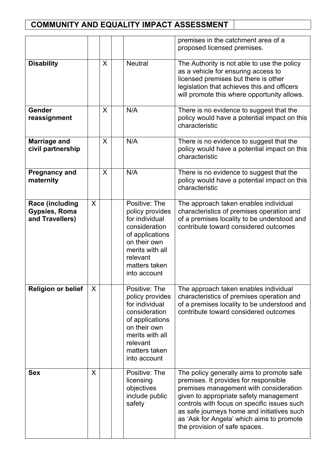|                                                                   |         |   |                                                                                                                                                                        | premises in the catchment area of a<br>proposed licensed premises.                                                                                                                                                                                                                                                                                |
|-------------------------------------------------------------------|---------|---|------------------------------------------------------------------------------------------------------------------------------------------------------------------------|---------------------------------------------------------------------------------------------------------------------------------------------------------------------------------------------------------------------------------------------------------------------------------------------------------------------------------------------------|
| <b>Disability</b>                                                 |         | X | <b>Neutral</b>                                                                                                                                                         | The Authority is not able to use the policy<br>as a vehicle for ensuring access to<br>licensed premises but there is other<br>legislation that achieves this and officers<br>will promote this where opportunity allows.                                                                                                                          |
| Gender<br>reassignment                                            |         | X | N/A                                                                                                                                                                    | There is no evidence to suggest that the<br>policy would have a potential impact on this<br>characteristic                                                                                                                                                                                                                                        |
| <b>Marriage and</b><br>civil partnership                          |         | X | N/A                                                                                                                                                                    | There is no evidence to suggest that the<br>policy would have a potential impact on this<br>characteristic                                                                                                                                                                                                                                        |
| <b>Pregnancy and</b><br>maternity                                 |         | X | N/A                                                                                                                                                                    | There is no evidence to suggest that the<br>policy would have a potential impact on this<br>characteristic                                                                                                                                                                                                                                        |
| <b>Race (including</b><br><b>Gypsies, Roma</b><br>and Travellers) | $\sf X$ |   | Positive: The<br>policy provides<br>for individual<br>consideration<br>of applications<br>on their own<br>merits with all<br>relevant<br>matters taken<br>into account | The approach taken enables individual<br>characteristics of premises operation and<br>of a premises locality to be understood and<br>contribute toward considered outcomes                                                                                                                                                                        |
| <b>Religion or belief</b>                                         | X       |   | Positive: The<br>policy provides<br>for individual<br>consideration<br>of applications<br>on their own<br>merits with all<br>relevant<br>matters taken<br>into account | The approach taken enables individual<br>characteristics of premises operation and<br>of a premises locality to be understood and<br>contribute toward considered outcomes                                                                                                                                                                        |
| <b>Sex</b>                                                        | X       |   | Positive: The<br>licensing<br>objectives<br>include public<br>safety                                                                                                   | The policy generally aims to promote safe<br>premises. It provides for responsible<br>premises management with consideration<br>given to appropriate safety management<br>controls with focus on specific issues such<br>as safe journeys home and initiatives such<br>as 'Ask for Angela' which aims to promote<br>the provision of safe spaces. |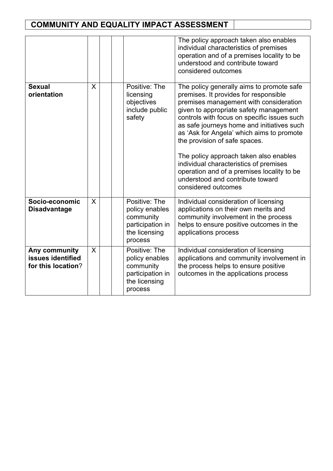|                                                          |   |                                                                                              | The policy approach taken also enables<br>individual characteristics of premises<br>operation and of a premises locality to be<br>understood and contribute toward<br>considered outcomes                                                                                                                                                                                                                                                                                                                                                      |
|----------------------------------------------------------|---|----------------------------------------------------------------------------------------------|------------------------------------------------------------------------------------------------------------------------------------------------------------------------------------------------------------------------------------------------------------------------------------------------------------------------------------------------------------------------------------------------------------------------------------------------------------------------------------------------------------------------------------------------|
| <b>Sexual</b><br>orientation                             | X | Positive: The<br>licensing<br>objectives<br>include public<br>safety                         | The policy generally aims to promote safe<br>premises. It provides for responsible<br>premises management with consideration<br>given to appropriate safety management<br>controls with focus on specific issues such<br>as safe journeys home and initiatives such<br>as 'Ask for Angela' which aims to promote<br>the provision of safe spaces.<br>The policy approach taken also enables<br>individual characteristics of premises<br>operation and of a premises locality to be<br>understood and contribute toward<br>considered outcomes |
| Socio-economic<br><b>Disadvantage</b>                    | X | Positive: The<br>policy enables<br>community<br>participation in<br>the licensing<br>process | Individual consideration of licensing<br>applications on their own merits and<br>community involvement in the process<br>helps to ensure positive outcomes in the<br>applications process                                                                                                                                                                                                                                                                                                                                                      |
| Any community<br>issues identified<br>for this location? | X | Positive: The<br>policy enables<br>community<br>participation in<br>the licensing<br>process | Individual consideration of licensing<br>applications and community involvement in<br>the process helps to ensure positive<br>outcomes in the applications process                                                                                                                                                                                                                                                                                                                                                                             |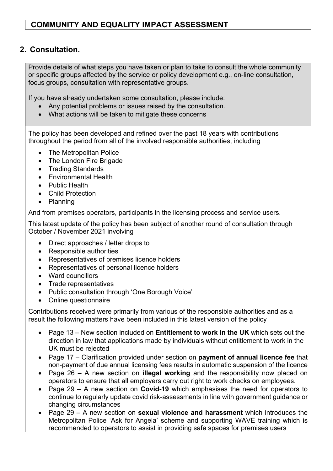#### **2. Consultation.**

Provide details of what steps you have taken or plan to take to consult the whole community or specific groups affected by the service or policy development e.g., on-line consultation, focus groups, consultation with representative groups.

If you have already undertaken some consultation, please include:

- Any potential problems or issues raised by the consultation.
- What actions will be taken to mitigate these concerns

The policy has been developed and refined over the past 18 years with contributions throughout the period from all of the involved responsible authorities, including

- The Metropolitan Police
- The London Fire Brigade
- Trading Standards
- Environmental Health
- Public Health
- Child Protection
- Planning

And from premises operators, participants in the licensing process and service users.

This latest update of the policy has been subject of another round of consultation through October / November 2021 involving

- Direct approaches / letter drops to
- Responsible authorities
- Representatives of premises licence holders
- Representatives of personal licence holders
- Ward councillors
- Trade representatives
- Public consultation through 'One Borough Voice'
- Online questionnaire

Contributions received were primarily from various of the responsible authorities and as a result the following matters have been included in this latest version of the policy

- Page 13 New section included on **Entitlement to work in the UK** which sets out the direction in law that applications made by individuals without entitlement to work in the UK must be rejected
- Page 17 Clarification provided under section on **payment of annual licence fee** that non-payment of due annual licensing fees results in automatic suspension of the licence
- Page 26 A new section on **illegal working** and the responsibility now placed on operators to ensure that all employers carry out right to work checks on employees.
- Page 29 A new section on **Covid-19** which emphasises the need for operators to continue to regularly update covid risk-assessments in line with government guidance or changing circumstances
- Page 29 A new section on **sexual violence and harassment** which introduces the Metropolitan Police 'Ask for Angela' scheme and supporting WAVE training which is recommended to operators to assist in providing safe spaces for premises users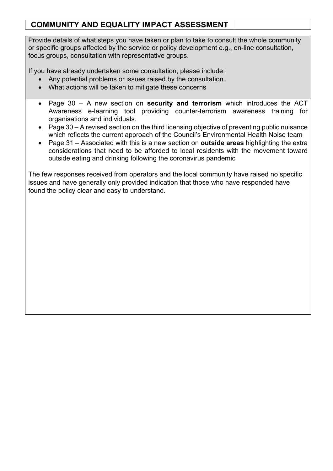Provide details of what steps you have taken or plan to take to consult the whole community or specific groups affected by the service or policy development e.g., on-line consultation, focus groups, consultation with representative groups.

If you have already undertaken some consultation, please include:

- Any potential problems or issues raised by the consultation.
- What actions will be taken to mitigate these concerns
- Page 30 A new section on **security and terrorism** which introduces the ACT Awareness e-learning tool providing counter-terrorism awareness training for organisations and individuals.
- Page 30 A revised section on the third licensing objective of preventing public nuisance which reflects the current approach of the Council's Environmental Health Noise team
- Page 31 Associated with this is a new section on **outside areas** highlighting the extra considerations that need to be afforded to local residents with the movement toward outside eating and drinking following the coronavirus pandemic

The few responses received from operators and the local community have raised no specific issues and have generally only provided indication that those who have responded have found the policy clear and easy to understand.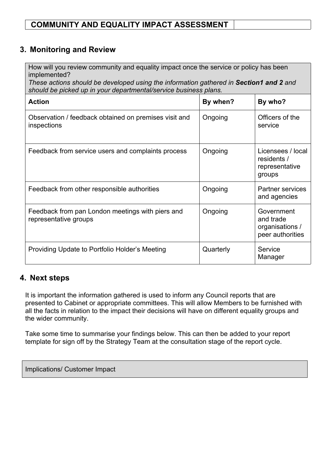#### **3. Monitoring and Review**

How will you review community and equality impact once the service or policy has been implemented?

*These actions should be developed using the information gathered in Section1 and 2 and should be picked up in your departmental/service business plans.*

| <b>Action</b>                                                             | By when?  | By who?                                                        |
|---------------------------------------------------------------------------|-----------|----------------------------------------------------------------|
| Observation / feedback obtained on premises visit and<br>inspections      | Ongoing   | Officers of the<br>service                                     |
| Feedback from service users and complaints process                        | Ongoing   | Licensees / local<br>residents /<br>representative<br>groups   |
| Feedback from other responsible authorities                               | Ongoing   | <b>Partner services</b><br>and agencies                        |
| Feedback from pan London meetings with piers and<br>representative groups | Ongoing   | Government<br>and trade<br>organisations /<br>peer authorities |
| Providing Update to Portfolio Holder's Meeting                            | Quarterly | Service<br>Manager                                             |

#### **4. Next steps**

It is important the information gathered is used to inform any Council reports that are presented to Cabinet or appropriate committees. This will allow Members to be furnished with all the facts in relation to the impact their decisions will have on different equality groups and the wider community.

Take some time to summarise your findings below. This can then be added to your report template for sign off by the Strategy Team at the consultation stage of the report cycle.

Implications/ Customer Impact